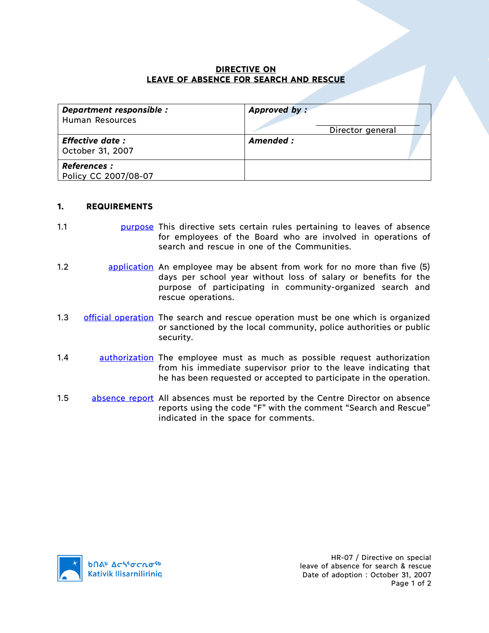## **DIRECTIVE ON LEAVE OF ABSENCE FOR SEARCH AND RESCUE**

| Department responsible :<br><b>Human Resources</b> | Approved by:<br>Director general |
|----------------------------------------------------|----------------------------------|
| <b>Effective date:</b><br>October 31, 2007         | Amended:                         |
| <b>References :</b><br>Policy CC 2007/08-07        |                                  |

## **1. REQUIREMENTS**

- 1.1 purpose This directive sets certain rules pertaining to leaves of absence for employees of the Board who are involved in operations of search and rescue in one of the Communities.
- 1.2 application An employee may be absent from work for no more than five (5) days per school year without loss of salary or benefits for the purpose of participating in community-organized search and rescue operations.
- 1.3 official operation The search and rescue operation must be one which is organized or sanctioned by the local community, police authorities or public security.
- 1.4 **authorization** The employee must as much as possible request authorization from his immediate supervisor prior to the leave indicating that he has been requested or accepted to participate in the operation.
- 1.5 absence report All absences must be reported by the Centre Director on absence reports using the code "F" with the comment "Search and Rescue" indicated in the space for comments.